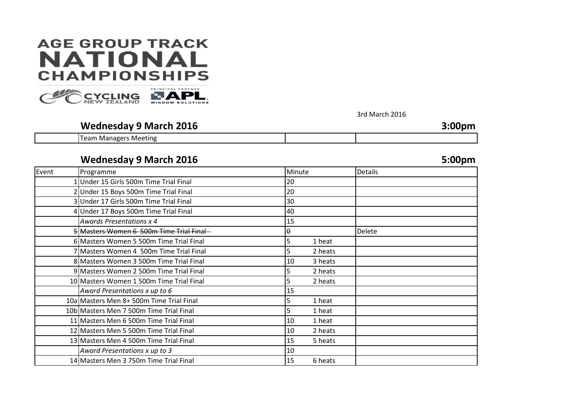# **AGE GROUP TRACK NATIONAL CHAMPIONSHIPS**



3rd March 2016

### **Wednesday 9 March 2016 3:00pm** Team Managers Meeting

### **Wednesday 9 March 2016 5:00pm**

| Programme                                | Minute        | Details |
|------------------------------------------|---------------|---------|
| 1Under 15 Girls 500m Time Trial Final    | 20            |         |
| 2 Under 15 Boys 500m Time Trial Final    | 20            |         |
| 3 Under 17 Girls 500m Time Trial Final   | 30            |         |
| 4 Under 17 Boys 500m Time Trial Final    | 40            |         |
| <b>Awards Presentations x 4</b>          | 15            |         |
| Masters Women 6 500m Time Trial Final    | θ             | Delete  |
| 6 Masters Women 5 500m Time Trial Final  | 1 heat<br>5   |         |
| 7 Masters Women 4 500m Time Trial Final  | 2 heats<br>5  |         |
| 8 Masters Women 3 500m Time Trial Final  | 10<br>3 heats |         |
| 9 Masters Women 2 500m Time Trial Final  | 2 heats<br>5  |         |
| 10 Masters Women 1 500m Time Trial Final | 2 heats<br>5  |         |
| Award Presentations x up to 6            | 15            |         |
| 10a Masters Men 8+500m Time Trial Final  | 5<br>1 heat   |         |
| 10b Masters Men 7 500m Time Trial Final  | 1 heat<br>5   |         |
| 11 Masters Men 6 500m Time Trial Final   | 10<br>1 heat  |         |
| 12 Masters Men 5 500m Time Trial Final   | 10<br>2 heats |         |
| 13 Masters Men 4 500m Time Trial Final   | 5 heats<br>15 |         |
| Award Presentations x up to 3            | 10            |         |
| 14 Masters Men 3 750m Time Trial Final   | 15<br>6 heats |         |
|                                          |               |         |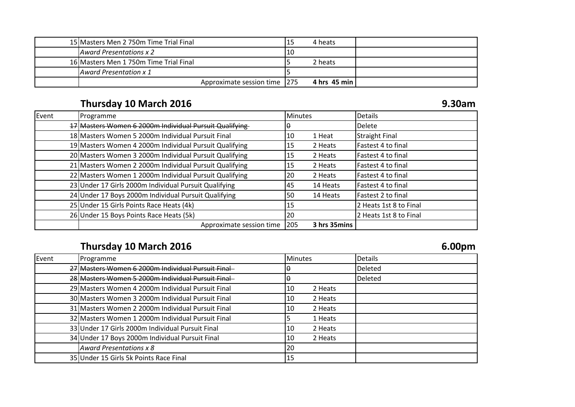| 15 Masters Men 2 750m Time Trial Final |                              |     | 4 heats        |  |
|----------------------------------------|------------------------------|-----|----------------|--|
| Award Presentations x 2                |                              | 110 |                |  |
| 16 Masters Men 1750m Time Trial Final  |                              |     | 2 heats        |  |
| <b>LAward Presentation x 1</b>         |                              |     |                |  |
|                                        | Approximate session time 275 |     | 4 hrs 45 min l |  |

# **Thursday 10 March 2016 9.30am**

| Event | Programme                                              | <b>Minutes</b> |              | <b>Details</b>         |
|-------|--------------------------------------------------------|----------------|--------------|------------------------|
|       | 17 Masters Women 6 2000m Individual Pursuit Qualifying | н              |              | Delete                 |
|       | 18 Masters Women 5 2000m Individual Pursuit Final      | 10             | 1 Heat       | <b>Straight Final</b>  |
|       | 19 Masters Women 4 2000m Individual Pursuit Qualifying | 15             | 2 Heats      | Fastest 4 to final     |
|       | 20 Masters Women 3 2000m Individual Pursuit Qualifying | 15             | 2 Heats      | Fastest 4 to final     |
|       | 21 Masters Women 2 2000m Individual Pursuit Qualifying | 15             | 2 Heats      | Fastest 4 to final     |
|       | 22 Masters Women 1 2000m Individual Pursuit Qualifying | 20             | 2 Heats      | Fastest 4 to final     |
|       | 23 Under 17 Girls 2000m Individual Pursuit Qualifying  | 45             | 14 Heats     | Fastest 4 to final     |
|       | 24 Under 17 Boys 2000m Individual Pursuit Qualifying   | 50             | 14 Heats     | Fastest 2 to final     |
|       | 25 Under 15 Girls Points Race Heats (4k)               | 15             |              | 2 Heats 1st 8 to Final |
|       | 26 Under 15 Boys Points Race Heats (5k)                | 20             |              | 2 Heats 1st 8 to Final |
|       | Approximate session time                               | 205            | 3 hrs 35mins |                        |

### **Thursday 10 March 2016 6.00pm**

| Event | Programme                                         | <b>Minutes</b> | <b>Details</b> |
|-------|---------------------------------------------------|----------------|----------------|
|       | 27 Masters Women 6 2000m Individual Pursuit Final |                | <b>Deleted</b> |
|       | 28 Masters Women 5 2000m Individual Pursuit Final |                | <b>Deleted</b> |
|       | 29 Masters Women 4 2000m Individual Pursuit Final | 2 Heats<br>10  |                |
|       | 30 Masters Women 3 2000m Individual Pursuit Final | 2 Heats<br>10  |                |
|       | 31 Masters Women 2 2000m Individual Pursuit Final | 2 Heats<br>10  |                |
|       | 32 Masters Women 1 2000m Individual Pursuit Final | 1 Heats        |                |
|       | 33 Under 17 Girls 2000m Individual Pursuit Final  | 2 Heats<br>10  |                |
|       | 34 Under 17 Boys 2000m Individual Pursuit Final   | 2 Heats<br>10  |                |
|       | Award Presentations x 8                           | 20             |                |
|       | 35 Under 15 Girls 5k Points Race Final            | 15             |                |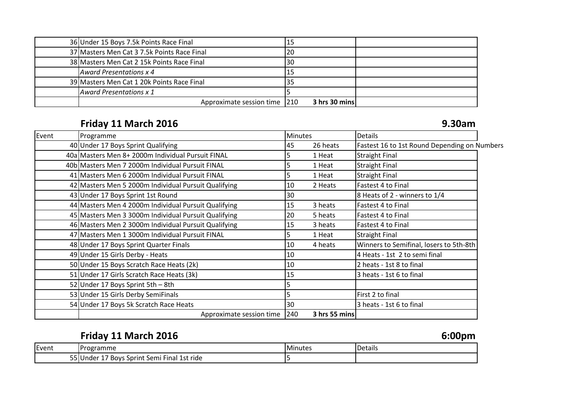| 36 Under 15 Boys 7.5k Points Race Final     |    |               |  |
|---------------------------------------------|----|---------------|--|
| 37 Masters Men Cat 3 7.5k Points Race Final | 20 |               |  |
| 38 Masters Men Cat 2 15k Points Race Final  | 30 |               |  |
| Award Presentations x 4                     |    |               |  |
| 39 Masters Men Cat 1 20k Points Race Final  |    |               |  |
| Award Presentations x 1                     |    |               |  |
| Approximate session time 210                |    | 3 hrs 30 mins |  |

# **Friday 11 March 2016 9.30am**

| Event | Programme                                            | <b>Minutes</b> |               | <b>Details</b>                               |
|-------|------------------------------------------------------|----------------|---------------|----------------------------------------------|
|       | 40 Under 17 Boys Sprint Qualifying                   | 45             | 26 heats      | Fastest 16 to 1st Round Depending on Numbers |
|       | 40a Masters Men 8+ 2000m Individual Pursuit FINAL    | 5              | 1 Heat        | <b>Straight Final</b>                        |
|       | 40b Masters Men 7 2000m Individual Pursuit FINAL     | 5              | 1 Heat        | <b>Straight Final</b>                        |
|       | 41 Masters Men 6 2000m Individual Pursuit FINAL      | 5              | 1 Heat        | <b>Straight Final</b>                        |
|       | 42 Masters Men 5 2000m Individual Pursuit Qualifying | 10             | 2 Heats       | Fastest 4 to Final                           |
|       | 43 Under 17 Boys Sprint 1st Round                    | 30             |               | 8 Heats of 2 - winners to 1/4                |
|       | 44 Masters Men 4 2000m Individual Pursuit Qualifying | 15             | 3 heats       | Fastest 4 to Final                           |
|       | 45 Masters Men 3 3000m Individual Pursuit Qualifying | 20             | 5 heats       | Fastest 4 to Final                           |
|       | 46 Masters Men 2 3000m Individual Pursuit Qualifying | 15             | 3 heats       | Fastest 4 to Final                           |
|       | 47 Masters Men 1 3000m Individual Pursuit FINAL      | 5              | 1 Heat        | <b>Straight Final</b>                        |
|       | 48 Under 17 Boys Sprint Quarter Finals               | 10             | 4 heats       | Winners to Semifinal, losers to 5th-8th      |
|       | 49 Under 15 Girls Derby - Heats                      | 10             |               | 4 Heats - 1st 2 to semi final                |
|       | 50 Under 15 Boys Scratch Race Heats (2k)             | 10             |               | 2 heats - 1st 8 to final                     |
|       | 51 Under 17 Girls Scratch Race Heats (3k)            | 15             |               | 3 heats - 1st 6 to final                     |
|       | 52 Under 17 Boys Sprint 5th - 8th                    |                |               |                                              |
|       | 53 Under 15 Girls Derby SemiFinals                   | 5              |               | First 2 to final                             |
|       | 54 Under 17 Boys 5k Scratch Race Heats               | 30             |               | 3 heats - 1st 6 to final                     |
|       | Approximate session time 240                         |                | 3 hrs 55 mins |                                              |

|       | Friday 11 March 2016                        |                |         | 6:00pm |
|-------|---------------------------------------------|----------------|---------|--------|
| Event | Programme                                   | <b>Minutes</b> | Details |        |
|       | 55 Under 17 Boys Sprint Semi Final 1st ride |                |         |        |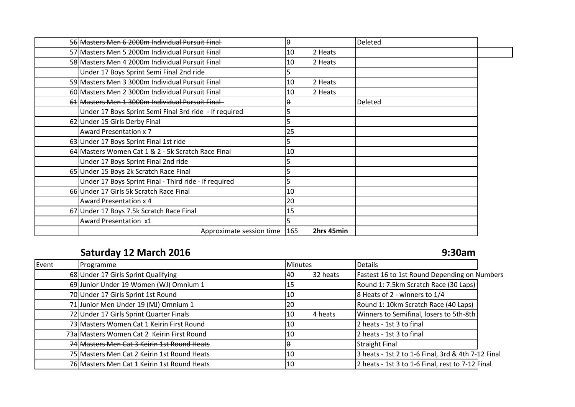| 56 Masters Men 6 2000m Individual Pursuit Final        | θ   |            | Deleted |  |
|--------------------------------------------------------|-----|------------|---------|--|
| 57 Masters Men 5 2000m Individual Pursuit Final        | 10  | 2 Heats    |         |  |
| 58 Masters Men 4 2000m Individual Pursuit Final        | 10  | 2 Heats    |         |  |
| Under 17 Boys Sprint Semi Final 2nd ride               |     |            |         |  |
| 59 Masters Men 3 3000m Individual Pursuit Final        | 10  | 2 Heats    |         |  |
| 60 Masters Men 2 3000m Individual Pursuit Final        | 10  | 2 Heats    |         |  |
| 61 Masters Men 1 3000m Individual Pursuit Final        | θ   |            | Deleted |  |
| Under 17 Boys Sprint Semi Final 3rd ride - If required | 5   |            |         |  |
| 62 Under 15 Girls Derby Final                          | 5   |            |         |  |
| <b>Award Presentation x 7</b>                          | 25  |            |         |  |
| 63 Under 17 Boys Sprint Final 1st ride                 |     |            |         |  |
| 64 Masters Women Cat 1 & 2 - 5k Scratch Race Final     | 10  |            |         |  |
| Under 17 Boys Sprint Final 2nd ride                    |     |            |         |  |
| 65 Under 15 Boys 2k Scratch Race Final                 |     |            |         |  |
| Under 17 Boys Sprint Final - Third ride - if required  | 5   |            |         |  |
| 66 Under 17 Girls 5k Scratch Race Final                | 10  |            |         |  |
| <b>Award Presentation x 4</b>                          | 20  |            |         |  |
| 67 Under 17 Boys 7.5k Scratch Race Final               | 15  |            |         |  |
| Award Presentation x1                                  |     |            |         |  |
| Approximate session time                               | 165 | 2hrs 45min |         |  |

# **Saturday 12 March 2016 9:30am**

| Event | Programme                                   | <b>Minutes</b>  | <b>Details</b>                                     |
|-------|---------------------------------------------|-----------------|----------------------------------------------------|
|       | 68 Under 17 Girls Sprint Qualifying         | 32 heats<br>I40 | Fastest 16 to 1st Round Depending on Numbers       |
|       | 69 Junior Under 19 Women (WJ) Omnium 1      | 15              | Round 1: 7.5km Scratch Race (30 Laps)              |
|       | 70 Under 17 Girls Sprint 1st Round          | 10              | 8 Heats of 2 - winners to 1/4                      |
|       | 71 Junior Men Under 19 (MJ) Omnium 1        | 20              | Round 1: 10km Scratch Race (40 Laps)               |
|       | 72 Under 17 Girls Sprint Quarter Finals     | 4 heats<br>10   | Winners to Semifinal, losers to 5th-8th            |
|       | 73 Masters Women Cat 1 Keirin First Round   | 10              | 2 heats - 1st 3 to final                           |
|       | 73a Masters Women Cat 2 Keirin First Round  | 10              | 2 heats - 1st 3 to final                           |
|       | 74 Masters Men Cat 3 Keirin 1st Round Heats |                 | <b>Straight Final</b>                              |
|       | 75 Masters Men Cat 2 Keirin 1st Round Heats | 10              | 3 heats - 1st 2 to 1-6 Final, 3rd & 4th 7-12 Final |
|       | 76 Masters Men Cat 1 Keirin 1st Round Heats | 10              | 2 heats - 1st 3 to 1-6 Final, rest to 7-12 Final   |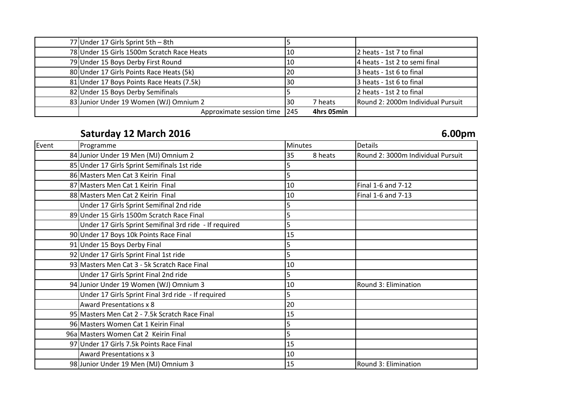| 77 Under 17 Girls Sprint 5th - 8th         |    |            |                                   |
|--------------------------------------------|----|------------|-----------------------------------|
| 78 Under 15 Girls 1500m Scratch Race Heats | 10 |            | 2 heats - 1st 7 to final          |
| 79 Under 15 Boys Derby First Round         | 10 |            | 4 heats - 1st 2 to semi final     |
| 80 Under 17 Girls Points Race Heats (5k)   | 20 |            | 3 heats - 1st 6 to final          |
| 81 Under 17 Boys Points Race Heats (7.5k)  | 30 |            | 3 heats - 1st 6 to final          |
| 82 Under 15 Boys Derby Semifinals          |    |            | 2 heats - 1st 2 to final          |
| 83 Junior Under 19 Women (WJ) Omnium 2     | 30 | 7 heats    | Round 2: 2000m Individual Pursuit |
| Approximate session time 245               |    | 4hrs 05min |                                   |

# **Saturday 12 March 2016 6.00pm**

| Programme                                              | <b>Minutes</b> | <b>Details</b>                    |
|--------------------------------------------------------|----------------|-----------------------------------|
| 84 Junior Under 19 Men (MJ) Omnium 2                   | 35<br>8 heats  | Round 2: 3000m Individual Pursuit |
| 85 Under 17 Girls Sprint Semifinals 1st ride           |                |                                   |
| 86 Masters Men Cat 3 Keirin Final                      | 5              |                                   |
| 87 Masters Men Cat 1 Keirin Final                      | 10             | Final 1-6 and 7-12                |
| 88 Masters Men Cat 2 Keirin Final                      | 10             | Final 1-6 and 7-13                |
| Under 17 Girls Sprint Semifinal 2nd ride               | 5              |                                   |
| 89 Under 15 Girls 1500m Scratch Race Final             |                |                                   |
| Under 17 Girls Sprint Semifinal 3rd ride - If required | 5              |                                   |
| 90 Under 17 Boys 10k Points Race Final                 | 15             |                                   |
| 91 Under 15 Boys Derby Final                           |                |                                   |
| 92 Under 17 Girls Sprint Final 1st ride                | 5              |                                   |
| 93 Masters Men Cat 3 - 5k Scratch Race Final           | 10             |                                   |
| Under 17 Girls Sprint Final 2nd ride                   | 5              |                                   |
| 94 Junior Under 19 Women (WJ) Omnium 3                 | 10             | Round 3: Elimination              |
| Under 17 Girls Sprint Final 3rd ride - If required     | 5              |                                   |
| <b>Award Presentations x 8</b>                         | 20             |                                   |
| 95 Masters Men Cat 2 - 7.5k Scratch Race Final         | 15             |                                   |
| 96 Masters Women Cat 1 Keirin Final                    |                |                                   |
| 96a Masters Women Cat 2 Keirin Final                   | 5              |                                   |
| 97 Under 17 Girls 7.5k Points Race Final               | 15             |                                   |
| <b>Award Presentations x 3</b>                         | 10             |                                   |
| 98 Junior Under 19 Men (MJ) Omnium 3                   | 15             | Round 3: Elimination              |
|                                                        |                |                                   |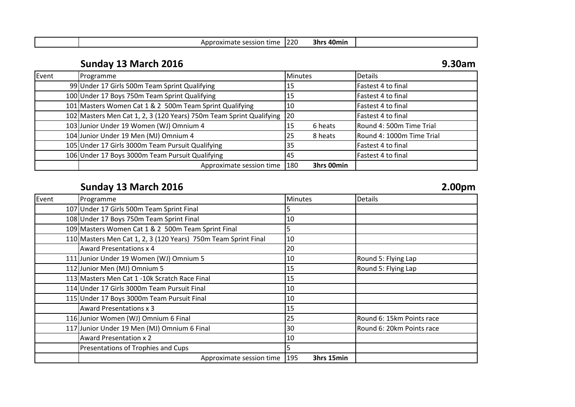| session<br>time<br>$-1112$<br>.<br>на<br>UAII | ∟ ∩כר<br>144 U | 71 L.<br>40mir<br>3nr |  |
|-----------------------------------------------|----------------|-----------------------|--|
|                                               |                |                       |  |

# **Sunday 13 March 2016 9.30am**

| Event | Programme                                                           | <b>Minutes</b> |            | <b>Details</b>            |
|-------|---------------------------------------------------------------------|----------------|------------|---------------------------|
|       | 99 Under 17 Girls 500m Team Sprint Qualifying                       | 15             |            | Fastest 4 to final        |
|       | 100 Under 17 Boys 750m Team Sprint Qualifying                       | 15             |            | Fastest 4 to final        |
|       | 101 Masters Women Cat 1 & 2 500m Team Sprint Qualifying             | 10             |            | Fastest 4 to final        |
|       | 102 Masters Men Cat 1, 2, 3 (120 Years) 750m Team Sprint Qualifying | 20             |            | Fastest 4 to final        |
|       | 103 Junior Under 19 Women (WJ) Omnium 4                             | 15             | 6 heats    | Round 4: 500m Time Trial  |
|       | 104 Junior Under 19 Men (MJ) Omnium 4                               | 25             | 8 heats    | Round 4: 1000m Time Trial |
|       | 105 Under 17 Girls 3000m Team Pursuit Qualifying                    | 35             |            | Fastest 4 to final        |
|       | 106 Under 17 Boys 3000m Team Pursuit Qualifying                     | 145            |            | Fastest 4 to final        |
|       | Approximate session time                                            | 180            | 3hrs 00min |                           |

## **Sunday 13 March 2016 2.00pm**

|       |                                                                | 6.VVP.II          |                           |
|-------|----------------------------------------------------------------|-------------------|---------------------------|
| Event | Programme                                                      | <b>Minutes</b>    | <b>Details</b>            |
|       | 107 Under 17 Girls 500m Team Sprint Final                      |                   |                           |
|       | 108 Under 17 Boys 750m Team Sprint Final                       | 10                |                           |
|       | 109 Masters Women Cat 1 & 2 500m Team Sprint Final             |                   |                           |
|       | 110 Masters Men Cat 1, 2, 3 (120 Years) 750m Team Sprint Final | 10                |                           |
|       | <b>Award Presentations x 4</b>                                 | 20                |                           |
|       | 111 Junior Under 19 Women (WJ) Omnium 5                        | 10                | Round 5: Flying Lap       |
|       | 112 Junior Men (MJ) Omnium 5                                   | 15                | Round 5: Flying Lap       |
|       | 113 Masters Men Cat 1 -10k Scratch Race Final                  | 15                |                           |
|       | 114 Under 17 Girls 3000m Team Pursuit Final                    | 10                |                           |
|       | 115 Under 17 Boys 3000m Team Pursuit Final                     | 10                |                           |
|       | <b>Award Presentations x 3</b>                                 | 15                |                           |
|       | 116 Junior Women (WJ) Omnium 6 Final                           | 25                | Round 6: 15km Points race |
|       | 117 Junior Under 19 Men (MJ) Omnium 6 Final                    | 30                | Round 6: 20km Points race |
|       | <b>Award Presentation x 2</b>                                  | 10                |                           |
|       | Presentations of Trophies and Cups                             |                   |                           |
|       | Approximate session time                                       | 3hrs 15min<br>195 |                           |